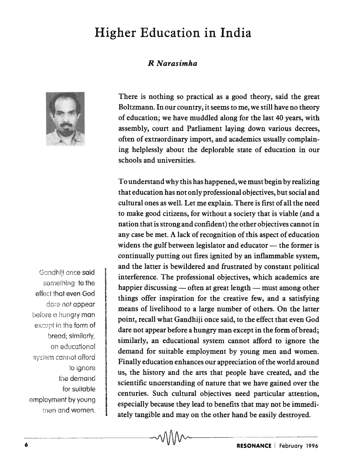# **Higher Education in India**

### *R Narasimha*



There is nothing so practical as a good theory, said the great Boltzmann. In our country, it seems to me, we still have no theory of education; we have muddled along for the last 40 years, with assembly, court and Parliament laying down various decrees, often of extraordinary import, and academics usually complaining helplessly about the deplorable state of education in our schools and universities.

To understand why this has happened, we must begin by realizing that education has not only professional objectives, but social and cultural ones as well. Let me explain. There is first of all the need to make good citizens, for without a society that is viable (and a nation that is strong and confident) the other objectives cannot in any case be met. A lack of recognition of this aspect of education widens the gulf between legislator and educator - the former is continually putting out fires ignited by an inflammable system, and the latter is bewildered and frustrated by constant political interference. The professional objectives, which academics are happier discussing  $-$  often at great length  $-$  must among other things offer inspiration for the creative few, and a satisfying means of livelihood to a large number of others. On the latter point, recall what Gandhiji once said, to the effect that even God dare not appear before a hungry man except in the form of bread; similarly, an educational system cannot afford to ignore the demand for suitable employment by young men and women. Finally education enhances our appreciation of the world around us, the history and the arts that people have created, and the scientific unaerstanding of nature that we have gained over the centuries. Such cultural objectives need particular attention, especially because they lead to benefits that may not be immediately tangible and may on the other hand be easily destroyed.

Gandhiii once said something to the effect that even God dare not appear before a hungry man except in the form of bread; similarly, an educational sysiem cannot afford 'to ignore the demand for suitable employment by young men and women.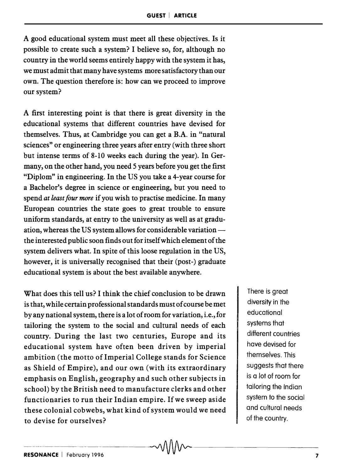A good educational system must meet all these objectives. Is it possible to create such a system? I believe so, for, although no country in the world seems entirely happy with the system it has, we must admit that many have systems more satisfactory than our own. The question therefore is: how can we proceed to improve our system?

A first interesting point is that there is great diversity in the educational systems that different countries have devised for themselves. Thus, at Cambridge you can get a B.A. in "natural sciences" or engineering three years after entry (with three short but intense terms of 8-10 weeks each during the year). In Germany, on the other hand, you need 5 years before you get the first "Diplom" in engineering. In the US you take a 4-year course for a Bachelor's degree in science or engineering, but you need to spend *at least four more* if you wish to practise medicine. In many European countries the state goes to great trouble to ensure uniform standards, at entry to the university as well as at graduation, whereas the US system allows for considerable variationthe interested public soon finds out for itself which element of the system delivers what. In spite of this loose regulation in the US, however, it is universally recognised that their (post-) graduate educational system is about the best available anywhere.

What does this tell us? I think the chief conclusion to be drawn is that, while certain professional standards must of course be met by any national system, there is a lot of room for variation, i.e., for tailoring the system to the social and cultural needs of each country. During the last two centuries, Europe and its educational system have often been driven by imperial ambition (the motto of Imperial College stands for Science as Shield of Empire), and our own (with its extraordinary emphasis on English, geography and such other subjects in school) by the British need to manufacture clerks and other functionaries to run their Indian empire. If we sweep aside these colonial cobwebs, what kind of system would we need to devise for ourselves? ~-~--7

There is great diversity in the educational systems that different countries have devised for themselves. This suggests that there is a lot of room for tailoring the Indian system to the social and cultural needs of the country.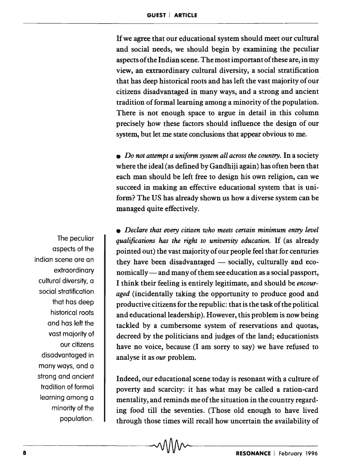If we agree that our educational system should meet our cultural and social needs, we should begin by examining the peculiar aspects of the Indian scene. The most important of these are, in my view, an extraordinary cultural diversity, a social stratification that has deep historical roots and has left the vast majority of our citizens disadvantaged in many ways, and a strong and ancient tradition of formal learning among a minority of the population. There is not enough space to argue in detail in this column precisely how these factors should influence the design of our system, but let me state conclusions that appear obvious to me.

• *Do not attempt a uniform system all across the country.* In a society where the ideal (as defined by Gandhiji again) has often been that each man should be left free to design his own religion, can we succeed in making an effective educational system tbat is uniform? The US has already shown us how a diverse system can be managed quite effectively.

*• Declare that every citizen who meets certain minimum entry level qualifications has the right to university education.* If (as already pointed out) the vast majority of our people feel that for centuries they have been disadvantaged - socially, culturally and economically — and many of them see education as a social passport, I think their feeling is entirely legitimate, and should be *encouraged* (incidentally taking the opportunity to produce good and productive citizens for the republic: that is the task of the political and educational leadership ). However, this problem is now being tackled by a cumbersome system of reservations and quotas, decreed by the politicians and judges of the land; educationists have no voice, because (I am sorry to say) we have refused to analyse it as *our* problem.

Indeed, our educational scene today is resonant with a culture of poverty and scarcity: it has what may be called a ration-card mentality, and reminds me of the situation in the country regarding food till the seventies. (Those old enough to have lived through those times will recall how uncertain the availability of

The peculiar aspects of the Indian scene are an extraordinary cultural diversity, a social stratification that has deep historical roots and has left the vast majority of our citizens disadvantaged in many ways, and a strong and ancient tradition of formal learning among a minority of the population.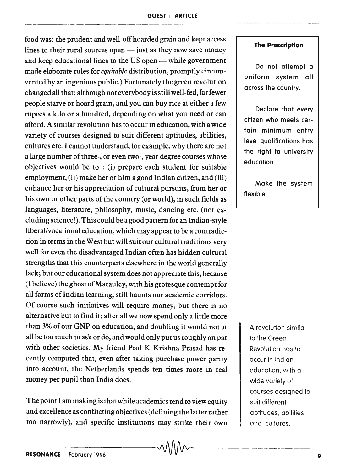food was: the prudent and well-off hoarded grain and kept access lines to their rural sources open  $-$  just as they now save money and keep educational lines to the US open - while government made elaborate rules for *equitable* distribution, promptly circumvented by an ingenious public.) Fortunately the green revolution changed all that: although not everybody is still well-fed, far fewer people starve or hoard grain, and you can buy rice at either a few rupees a kilo or a hundred, depending on what you need or can afford. A similar revolution has to occur in education, with a wide variety of courses designed to suit different aptitudes, abilities, cultures etc. 1 cannot understand, for example, why there are not a large number of three-, or even two-, year degree courses whose objectives would be to : (i) prepare each student for suitable employment, (ii) make her or him a good Indian citizen, and (iii) enhance her or his appreciation of cultural pursuits, from her or his own or other parts of the country (or world), in such fields as languages, literature, philosophy, music, dancing etc. (not excluding science!). This could be a good pattern for an Indian-style liberal/vocational education, which may appear to be a contradiction in terms in the West but will suit our cultural traditions very well for even the disadvantaged Indian often has hidden cultural strengths that this counterparts elsewhere in the world generally lack; but our educational system does not appreciate this, because (I believe) the ghost of Macauley, with his grotesque contempt for all forms of Indian learning, still haunts our academic corridors. Of course such initiatives will require money, but there is no alternative but to find it; after all we now spend only a little more than 3% of our GNP on education, and doubling it would not at all be too much to ask or do, and would only put us roughly on par with other societies. My friend Prof K Krishna Prasad has recently computed that, even after taking purchase power parity into account, the Netherlands spends ten times more in real money per pupil than India does.

The point I am making is that while academics tend to view equity and excellence as conflicting objectives (defining the latter rather too narrowly), and specific institutions may strike their own

#### **The Prescription**

Do not attempt a uniform system all across the country.

Declare that every citizen who meets certain minimum entry level qualifications has the right to university education.

Make the system flexible.

A revolution similar to the Green Revolution has to occur in Indian education, with a wide variety of courses designed to suit different aptitudes, abilities and cultures.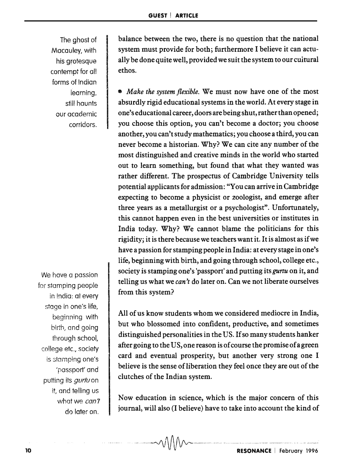The ghost of Macauley, with his grotesque contempt for all forms of Indian learning. still haunts our academic corridors.

We have a passion for stamping people in India: at every stage in one's life, beginning with birth, and going through school, co!lege etc., society is stamping one's 'passport' dnd putting its *gurtu* on it, and telling us what we can't do later on .

balance between the two, there is no question that the national system must provide for both; furthermore I believe it can actually be done quite well, provided we suit the system to our cuitural ethos.

*• Make the system flexible.* We must now have one of the most absurdly rigid educational systems in the world. At every stage in one's educational career, doors are being shut, rather than opened; you choose this option, you can't become a doctor; you choose another, you can't study mathematics; you choose a third, you can never become a historian. Why? We can cite any number of the most distinguished and creative minds in the world who started out to learn something, but found that what they wanted was rather different. The prospectus of Cambridge University tells potential applicants for admission: "You can arrive in Cambridge expecting to become a physicist or zoologist, and emerge after three years as a metallurgist or a psychologist". Unfortunately, this cannot happen even in the best universities or institutes in India today. Why? We cannot blame the politicians for this rigidity; it is there because we teachers want it. It is almost as if we have a passion for stamping people in India: at every stage in one's life, beginning with birth, and going through school, college etc., society is stamping one's 'passport' and putting *itsgurtu* on it, and telling us what we *can't* do later on. Can we not liberate ourselves from this system?

All of us know students whom we considered mediocre in India, but who blossomed into confident, productive, and sometimes distinguished personalities in the US. If so many students hanker after going to the US, one reason is of course the promise of a green card and eventual prosperity, but another very strong one I believe is the sense of liberation they feel once they are out of the clutches of the Indian system.

Now education in science, which is the major concern of this journal, will also (I believe) have to take into account the kind of